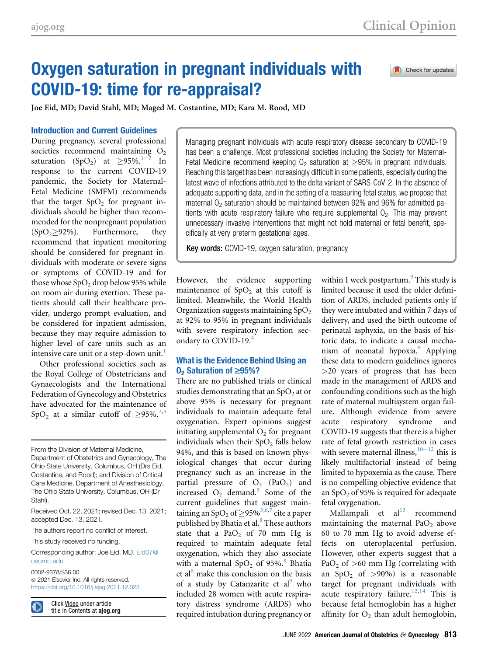Check for updates

# Oxygen saturation in pregnant individuals with COVID-19: time for re-appraisal?

Joe Eid, MD; David Stahl, MD; Maged M. Costantine, MD; Kara M. Rood, MD

# Introduction and Current Guidelines

During pregnancy, several professional societies recommend maintai[ning](#page-2-0)  $O_2$ saturation (SpO<sub>2</sub>) at  $\geq$ 95%.<sup>1-3</sup> In response to the current COVID-19 pandemic, the Society for Maternal-Fetal Medicine (SMFM) recommends that the target  $SpO<sub>2</sub>$  for pregnant individuals should be higher than recommended for the nonpregnant population  $(SpO<sub>2</sub> \geq 92\%)$ . Furthermore, they recommend that inpatient monitoring should be considered for pregnant individuals with moderate or severe signs or symptoms of COVID-19 and for those whose  $SpO<sub>2</sub>$  drop below 95% while on room air during exertion. These patients should call their healthcare provider, undergo prompt evaluation, and be considered for inpatient admission, because they may require admission to higher level of care units such as an intensive care unit or a step-down unit.<sup>[1](#page-2-0)</sup>

Other professional societies such as the Royal College of Obstetricians and Gynaecologists and the International Federation of Gynecology and Obstetrics have advocated for the maintenance of SpO<sub>2</sub> at a similar cutoff of  $\geq$ 95%.<sup>[2,](#page-2-1)[3](#page-2-2)</sup>

From the Division of Maternal Medicine, Department of Obstetrics and Gynecology, The Ohio State University, Columbus, OH (Drs Eid, Costantine, and Rood); and Division of Critical Care Medicine, Department of Anesthesiology, The Ohio State University, Columbus, OH (Dr Stahl).

Received Oct. 22, 2021; revised Dec. 13, 2021; accepted Dec. 13, 2021.

The authors report no conflict of interest.

This study received no funding.

Corresponding author: Joe Eid, MD. [Eid07@](mailto:Eid07@osumc.edu) [osumc.edu](mailto:Eid07@osumc.edu)

0002-9378/\$36.00  $@$  2021 Elsevier Inc. All rights reserved. <https://doi.org/10.1016/j.ajog.2021.12.023>

Click Video under article title in Contents at ajog.org Managing pregnant individuals with acute respiratory disease secondary to COVID-19 has been a challenge. Most professional societies including the Society for Maternal-Fetal Medicine recommend keeping  $O_2$  saturation at  $\geq$ 95% in pregnant individuals. Reaching this target has been increasingly difficult in some patients, especially during the latest wave of infections attributed to the delta variant of SARS-CoV-2. In the absence of adequate supporting data, and in the setting of a reassuring fetal status, we propose that maternal  $O<sub>2</sub>$  saturation should be maintained between 92% and 96% for admitted patients with acute respiratory failure who require supplemental  $O<sub>2</sub>$ . This may prevent unnecessary invasive interventions that might not hold maternal or fetal benefit, specifically at very preterm gestational ages.

Key words: COVID-19, oxygen saturation, pregnancy

However, the evidence supporting maintenance of  $SpO<sub>2</sub>$  at this cutoff is limited. Meanwhile, the World Health Organization suggests maintaining  $SpO<sub>2</sub>$ at 92% to 95% in pregnant individuals with severe respiratory infection secondary to COVID-19.[4](#page-2-3)

## What is the Evidence Behind Using an  $0<sub>2</sub>$  Saturation of  $\geq$ 95%?

There are no published trials or clinical studies demonstrating that an  $SpO<sub>2</sub>$  at or above 95% is necessary for pregnant individuals to maintain adequate fetal oxygenation. Expert opinions suggest initiating supplemental  $O<sub>2</sub>$  for pregnant individuals when their  $SpO<sub>2</sub>$  falls below 94%, and this is based on known physiological changes that occur during pregnancy such as an increase in the partial pressure of  $O_2$  (PaO<sub>2</sub>) and increased  $O_2$  demand.<sup>[5](#page-2-4)</sup> Some of the current guidelines that suggest maintaining an  $SpO<sub>2</sub>$  of  $\geq$ 95%<sup>[3,](#page-2-2)[6](#page-2-5)[,7](#page-2-6)</sup> cite a paper published by Bhatia et al.<sup>[8](#page-2-7)</sup> These authors state that a  $PaO<sub>2</sub>$  of 70 mm Hg is required to maintain adequate fetal oxygenation, which they also associate with a maternal  $SpO<sub>2</sub>$  of 95%.<sup>[8](#page-2-7)</sup> Bhatia et al $^{8}$  $^{8}$  $^{8}$  make this conclusion on the basis of a study by Catanzarite et al<sup>[9](#page-2-8)</sup> who included 28 women with acute respiratory distress syndrome (ARDS) who required intubation during pregnancy or

within 1 week postpartum.<sup>[9](#page-2-8)</sup> This study is limited because it used the older definition of ARDS, included patients only if they were intubated and within 7 days of delivery, and used the birth outcome of perinatal asphyxia, on the basis of historic data, to indicate a causal mecha-nism of neonatal hypoxia.<sup>[9](#page-2-8)</sup> Applying these data to modern guidelines ignores >20 years of progress that has been made in the management of ARDS and confounding conditions such as the high rate of maternal multisystem organ failure. Although evidence from severe acute respiratory syndrome and COVID-19 suggests that there is a higher rate of fetal growth restriction in cases with severe maternal illness,  $10^{-12}$  $10^{-12}$  this is likely multifactorial instead of being limited to hypoxemia as the cause. There is no compelling objective evidence that an  $SpO<sub>2</sub>$  of 95% is required for adequate fetal oxygenation.

Mallampali et  $al<sup>13</sup>$  $al<sup>13</sup>$  $al<sup>13</sup>$  recommend maintaining the maternal  $PaO<sub>2</sub>$  above 60 to 70 mm Hg to avoid adverse effects on uteroplacental perfusion. However, other experts suggest that a PaO<sub>2</sub> of  $>60$  mm Hg (correlating with an  $SpO<sub>2</sub>$  of  $>90\%$ ) is a reasonable target for pregnant individuals with acute respiratory failure.<sup>[12](#page-2-11)[,14](#page-2-12)</sup> This is because fetal hemoglobin has a higher affinity for  $O_2$  than adult hemoglobin,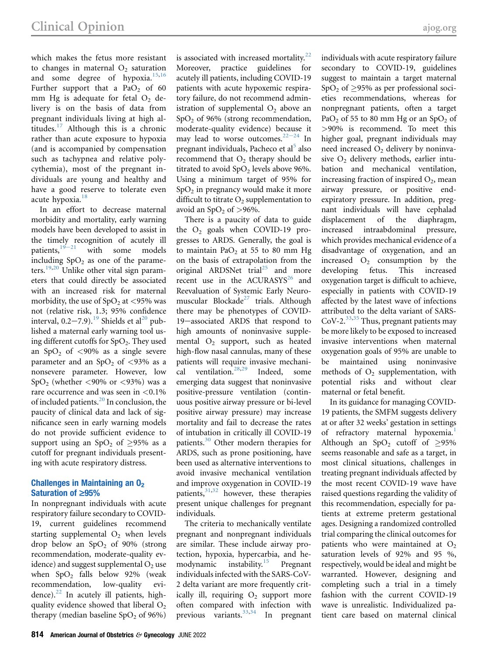which makes the fetus more resistant to changes in maternal  $O<sub>2</sub>$  saturation and some degree of hypoxia. $15,16$  $15,16$  $15,16$ Further support that a  $PaO<sub>2</sub>$  of 60 mm Hg is adequate for fetal  $O<sub>2</sub>$  delivery is on the basis of data from pregnant individuals living at high altitudes. $17$  Although this is a chronic rather than acute exposure to hypoxia (and is accompanied by compensation such as tachypnea and relative polycythemia), most of the pregnant individuals are young and healthy and have a good reserve to tolerate even acute hypoxia.<sup>[18](#page-2-16)</sup>

In an effort to decrease maternal morbidity and mortality, early warning models have been developed to assist in the tim[ely r](#page-2-17)ecognition of acutely ill patients,  $19-21$  with some models including  $SpO<sub>2</sub>$  as one of the parame-ters.<sup>[19,](#page-2-17)[20](#page-2-18)</sup> Unlike other vital sign parameters that could directly be associated with an increased risk for maternal morbidity, the use of  $SpO<sub>2</sub>$  at <95% was not (relative risk, 1.3; 95% confidence interval,  $0.2-7.9$ ).<sup>[19](#page-2-17)</sup> Shields et al<sup>[20](#page-2-18)</sup> published a maternal early warning tool using different cutoffs for  $SpO<sub>2</sub>$ . They used an  $SpO<sub>2</sub>$  of <90% as a single severe parameter and an  $SpO<sub>2</sub>$  of <93% as a nonsevere parameter. However, low  $SpO<sub>2</sub>$  (whether <90% or <93%) was a rare occurrence and was seen in <0.1% of included patients.<sup>[20](#page-2-18)</sup> In conclusion, the paucity of clinical data and lack of significance seen in early warning models do not provide sufficient evidence to support using an SpO<sub>2</sub> of  $\geq$ 95% as a cutoff for pregnant individuals presenting with acute respiratory distress.

## Challenges in Maintaining an  $0<sub>2</sub>$ Saturation of  $\geq 95\%$

In nonpregnant individuals with acute respiratory failure secondary to COVID-19, current guidelines recommend starting supplemental  $O<sub>2</sub>$  when levels drop below an  $SpO<sub>2</sub>$  of 90% (strong recommendation, moderate-quality evidence) and suggest supplemental  $O<sub>2</sub>$  use when  $SpO<sub>2</sub>$  falls below 92% (weak recommendation, low-quality evidence). $^{22}$  $^{22}$  $^{22}$  In acutely ill patients, highquality evidence showed that liberal  $O<sub>2</sub>$ therapy (median baseline  $SpO<sub>2</sub>$  of 96%)

is associated with increased mortality. $22$ Moreover, practice guidelines for acutely ill patients, including COVID-19 patients with acute hypoxemic respiratory failure, do not recommend administration of supplemental  $O_2$  above an SpO2 of 96% (strong recommendation, moderate-quality evidence) because it may lead to worse outcomes. $22-24$  $22-24$  In pregnant individuals, Pacheco et al<sup>[5](#page-2-4)</sup> also recommend that  $O_2$  therapy should be titrated to avoid  $SpO<sub>2</sub>$  levels above 96%. Using a minimum target of 95% for  $SpO<sub>2</sub>$  in pregnancy would make it more difficult to titrate  $O<sub>2</sub>$  supplementation to avoid an  $SpO<sub>2</sub>$  of  $>96\%$ .

There is a paucity of data to guide the  $O_2$  goals when COVID-19 progresses to ARDS. Generally, the goal is to maintain PaO<sub>2</sub> at 55 to 80 mm Hg on the basis of extrapolation from the original ARDSNet trial<sup>[25](#page-3-1)</sup> and more recent use in the ACURASYS<sup>26</sup> and Reevaluation of Systemic Early Neuro-muscular Blockade<sup>[27](#page-3-3)</sup> trials. Although there may be phenotypes of COVID-19-associated ARDS that respond to high amounts of noninvasive supplemental  $O_2$  support, such as heated high-flow nasal cannulas, many of these patients will require invasive mechani-cal ventilation.<sup>[28](#page-3-4)[,29](#page-3-5)</sup> Indeed, some emerging data suggest that noninvasive positive-pressure ventilation (continuous positive airway pressure or bi-level positive airway pressure) may increase mortality and fail to decrease the rates of intubation in critically ill COVID-19 patients.[30](#page-3-6) Other modern therapies for ARDS, such as prone positioning, have been used as alternative interventions to avoid invasive mechanical ventilation and improve oxygenation in COVID-19 patients, $31,32$  $31,32$  however, these therapies present unique challenges for pregnant individuals.

The criteria to mechanically ventilate pregnant and nonpregnant individuals are similar. These include airway protection, hypoxia, hypercarbia, and he-modynamic instability.<sup>[15](#page-2-13)</sup> Pregnant individuals infected with the SARS-CoV-2 delta variant are more frequently critically ill, requiring  $O_2$  support more often compared with infection with previous variants. $33,34$  $33,34$  In pregnant

individuals with acute respiratory failure secondary to COVID-19, guidelines suggest to maintain a target maternal SpO<sub>2</sub> of  $\geq$ 95% as per professional societies recommendations, whereas for nonpregnant patients, often a target PaO<sub>2</sub> of 55 to 80 mm Hg or an SpO<sub>2</sub> of >90% is recommend. To meet this higher goal, pregnant individuals may need increased  $O<sub>2</sub>$  delivery by noninvasive  $O_2$  delivery methods, earlier intubation and mechanical ventilation, increasing fraction of inspired  $O_2$ , mean airway pressure, or positive endexpiratory pressure. In addition, pregnant individuals will have cephalad displacement of the diaphragm, increased intraabdominal pressure, which provides mechanical evidence of a disadvantage of oxygenation, and an increased  $O_2$  consumption by the developing fetus. This increased oxygenation target is difficult to achieve, especially in patients with COVID-19 affected by the latest wave of infections attributed to the delta variant of SARS-CoV-2. $33,35$  $33,35$  Thus, pregnant patients may be more likely to be exposed to increased invasive interventions when maternal oxygenation goals of 95% are unable to be maintained using noninvasive methods of  $O<sub>2</sub>$  supplementation, with potential risks and without clear maternal or fetal benefit.

In its guidance for managing COVID-19 patients, the SMFM suggests delivery at or after 32 weeks' gestation in settings of refractory maternal hypoxemia.<sup>[1](#page-2-0)</sup> Although an  $SpO<sub>2</sub>$  cutoff of  $\geq$ 95% seems reasonable and safe as a target, in most clinical situations, challenges in treating pregnant individuals affected by the most recent COVID-19 wave have raised questions regarding the validity of this recommendation, especially for patients at extreme preterm gestational ages. Designing a randomized controlled trial comparing the clinical outcomes for patients who were maintained at  $O<sub>2</sub>$ saturation levels of 92% and 95 %, respectively, would be ideal and might be warranted. However, designing and completing such a trial in a timely fashion with the current COVID-19 wave is unrealistic. Individualized patient care based on maternal clinical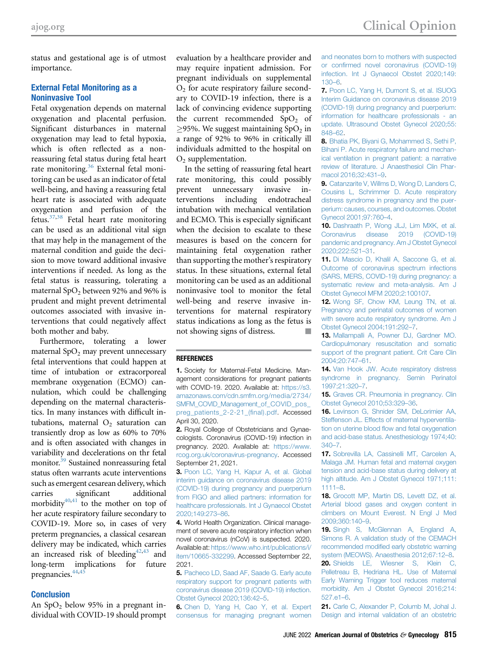status and gestational age is of utmost importance.

### External Fetal Monitoring as a Noninvasive Tool

Fetal oxygenation depends on maternal oxygenation and placental perfusion. Significant disturbances in maternal oxygenation may lead to fetal hypoxia, which is often reflected as a nonreassuring fetal status during fetal heart rate monitoring.<sup>[36](#page-3-12)</sup> External fetal monitoring can be used as an indicator of fetal well-being, and having a reassuring fetal heart rate is associated with adequate oxygenation and perfusion of the fetus[.37](#page-3-13)[,38](#page-3-14) Fetal heart rate monitoring can be used as an additional vital sign that may help in the management of the maternal condition and guide the decision to move toward additional invasive interventions if needed. As long as the fetal status is reassuring, tolerating a maternal  $SpO<sub>2</sub>$  between 92% and 96% is prudent and might prevent detrimental outcomes associated with invasive interventions that could negatively affect both mother and baby.

Furthermore, tolerating a lower maternal  $SpO<sub>2</sub>$  may prevent unnecessary fetal interventions that could happen at time of intubation or extracorporeal membrane oxygenation (ECMO) cannulation, which could be challenging depending on the maternal characteristics. In many instances with difficult intubations, maternal  $O_2$  saturation can transiently drop as low as 60% to 70% and is often associated with changes in variability and decelerations on thr fetal monitor.<sup>39</sup> Sustained nonreassuring fetal status often warrants acute interventions such as emergent cesarean delivery, which carries significant additional morbidity $40,41$  $40,41$  to the mother on top of her acute respiratory failure secondary to COVID-19. More so, in cases of very preterm pregnancies, a classical cesarean delivery may be indicated, which carries an increased risk of bleeding $42,43$  $42,43$  and long-term implications for future pregnancies.<sup>44,[45](#page-3-21)</sup>

#### **Conclusion**

An  $SpO<sub>2</sub>$  below 95% in a pregnant individual with COVID-19 should prompt evaluation by a healthcare provider and may require inpatient admission. For pregnant individuals on supplemental  $O<sub>2</sub>$  for acute respiratory failure secondary to COVID-19 infection, there is a lack of convincing evidence supporting the current recommended  $SpO<sub>2</sub>$  of  $\geq$ 95%. We suggest maintaining SpO<sub>2</sub> in a range of 92% to 96% in critically ill individuals admitted to the hospital on  $O<sub>2</sub>$  supplementation.

In the setting of reassuring fetal heart rate monitoring, this could possibly prevent unnecessary invasive interventions including endotracheal intubation with mechanical ventilation and ECMO. This is especially significant when the decision to escalate to these measures is based on the concern for maintaining fetal oxygenation rather than supporting the mother's respiratory status. In these situations, external fetal monitoring can be used as an additional noninvasive tool to monitor the fetal well-being and reserve invasive interventions for maternal respiratory status indications as long as the fetus is not showing signs of distress. -

#### <span id="page-2-0"></span>**REFERENCES**

1. Society for Maternal-Fetal Medicine. Management considerations for pregnant patients with COVID-19. 2020. Available at: [https://s3.](https://s3.amazonaws.com/cdn.smfm.org/media/2734/SMFM_COVID_Management_of_COVID_pos_preg_patients_2-2-21_(final).pdf) [amazonaws.com/cdn.smfm.org/media/2734/](https://s3.amazonaws.com/cdn.smfm.org/media/2734/SMFM_COVID_Management_of_COVID_pos_preg_patients_2-2-21_(final).pdf) [SMFM\\_COVID\\_Management\\_of\\_COVID\\_pos\\_](https://s3.amazonaws.com/cdn.smfm.org/media/2734/SMFM_COVID_Management_of_COVID_pos_preg_patients_2-2-21_(final).pdf) [preg\\_patients\\_2-2-21\\_\(](https://s3.amazonaws.com/cdn.smfm.org/media/2734/SMFM_COVID_Management_of_COVID_pos_preg_patients_2-2-21_(final).pdf)final).pdf. Accessed April 30, 2020.

<span id="page-2-1"></span>2. Royal College of Obstetricians and Gynaecologists. Coronavirus (COVID-19) infection in pregnancy. 2020. Available at: [https://www.](https://www.rcog.org.uk/coronavirus-pregnancy) [rcog.org.uk/coronavirus-pregnancy.](https://www.rcog.org.uk/coronavirus-pregnancy) Accessed September 21, 2021.

<span id="page-2-2"></span>3. [Poon LC, Yang H, Kapur A, et al. Global](http://refhub.elsevier.com/S0002-9378(21)02687-9/sref3) [interim guidance on coronavirus disease 2019](http://refhub.elsevier.com/S0002-9378(21)02687-9/sref3) [\(COVID-19\) during pregnancy and puerperium](http://refhub.elsevier.com/S0002-9378(21)02687-9/sref3) [from FIGO and allied partners: information for](http://refhub.elsevier.com/S0002-9378(21)02687-9/sref3) [healthcare professionals. Int J Gynaecol Obstet](http://refhub.elsevier.com/S0002-9378(21)02687-9/sref3) [2020;149:273](http://refhub.elsevier.com/S0002-9378(21)02687-9/sref3)–86.

<span id="page-2-3"></span>4. World Health Organization. Clinical management of severe acute respiratory infection when novel coronavirus (nCoV) is suspected. 2020. Available at: [https://www.who.int/publications/i/](https://www.who.int/publications/i/item/10665-332299) [item/10665-332299](https://www.who.int/publications/i/item/10665-332299). Accessed September 22, 2021.

<span id="page-2-4"></span>5. [Pacheco LD, Saad AF, Saade G. Early acute](http://refhub.elsevier.com/S0002-9378(21)02687-9/sref5) [respiratory support for pregnant patients with](http://refhub.elsevier.com/S0002-9378(21)02687-9/sref5) [coronavirus disease 2019 \(COVID-19\) infection.](http://refhub.elsevier.com/S0002-9378(21)02687-9/sref5) [Obstet Gynecol 2020;136:42](http://refhub.elsevier.com/S0002-9378(21)02687-9/sref5)–5.

<span id="page-2-5"></span>6. [Chen D, Yang H, Cao Y, et al. Expert](http://refhub.elsevier.com/S0002-9378(21)02687-9/sref6) [consensus for managing pregnant women](http://refhub.elsevier.com/S0002-9378(21)02687-9/sref6) [and neonates born to mothers with suspected](http://refhub.elsevier.com/S0002-9378(21)02687-9/sref6) or confi[rmed novel coronavirus \(COVID-19\)](http://refhub.elsevier.com/S0002-9378(21)02687-9/sref6) [infection. Int J Gynaecol Obstet 2020;149:](http://refhub.elsevier.com/S0002-9378(21)02687-9/sref6) [130](http://refhub.elsevier.com/S0002-9378(21)02687-9/sref6)–6.

<span id="page-2-6"></span>7. [Poon LC, Yang H, Dumont S, et al. ISUOG](http://refhub.elsevier.com/S0002-9378(21)02687-9/sref7) [Interim Guidance on coronavirus disease 2019](http://refhub.elsevier.com/S0002-9378(21)02687-9/sref7) [\(COVID-19\) during pregnancy and puerperium:](http://refhub.elsevier.com/S0002-9378(21)02687-9/sref7) [information for healthcare professionals - an](http://refhub.elsevier.com/S0002-9378(21)02687-9/sref7) [update. Ultrasound Obstet Gynecol 2020;55:](http://refhub.elsevier.com/S0002-9378(21)02687-9/sref7) [848](http://refhub.elsevier.com/S0002-9378(21)02687-9/sref7)–62.

<span id="page-2-7"></span>8. [Bhatia PK, Biyani G, Mohammed S, Sethi P,](http://refhub.elsevier.com/S0002-9378(21)02687-9/sref8) [Bihani P. Acute respiratory failure and mechan](http://refhub.elsevier.com/S0002-9378(21)02687-9/sref8)[ical ventilation in pregnant patient: a narrative](http://refhub.elsevier.com/S0002-9378(21)02687-9/sref8) [review of literature. J Anaesthesiol Clin Phar](http://refhub.elsevier.com/S0002-9378(21)02687-9/sref8)[macol 2016;32:431](http://refhub.elsevier.com/S0002-9378(21)02687-9/sref8)–9.

<span id="page-2-8"></span>9. [Catanzarite V, Willms D, Wong D, Landers C,](http://refhub.elsevier.com/S0002-9378(21)02687-9/sref9) [Cousins L, Schrimmer D. Acute respiratory](http://refhub.elsevier.com/S0002-9378(21)02687-9/sref9) [distress syndrome in pregnancy and the puer](http://refhub.elsevier.com/S0002-9378(21)02687-9/sref9)[perium: causes, courses, and outcomes. Obstet](http://refhub.elsevier.com/S0002-9378(21)02687-9/sref9) [Gynecol 2001;97:760](http://refhub.elsevier.com/S0002-9378(21)02687-9/sref9)–4.

<span id="page-2-9"></span>10. [Dashraath P, Wong JLJ, Lim MXK, et al.](http://refhub.elsevier.com/S0002-9378(21)02687-9/sref10) [Coronavirus disease 2019 \(COVID-19\)](http://refhub.elsevier.com/S0002-9378(21)02687-9/sref10) [pandemic and pregnancy. Am J Obstet Gynecol](http://refhub.elsevier.com/S0002-9378(21)02687-9/sref10) [2020;222:521](http://refhub.elsevier.com/S0002-9378(21)02687-9/sref10)–31.

11. [Di Mascio D, Khalil A, Saccone G, et al.](http://refhub.elsevier.com/S0002-9378(21)02687-9/sref11) [Outcome of coronavirus spectrum infections](http://refhub.elsevier.com/S0002-9378(21)02687-9/sref11) [\(SARS, MERS, COVID-19\) during pregnancy: a](http://refhub.elsevier.com/S0002-9378(21)02687-9/sref11) [systematic review and meta-analysis. Am J](http://refhub.elsevier.com/S0002-9378(21)02687-9/sref11) [Obstet Gynecol MFM 2020;2:100107](http://refhub.elsevier.com/S0002-9378(21)02687-9/sref11).

<span id="page-2-11"></span>12. [Wong SF, Chow KM, Leung TN, et al.](http://refhub.elsevier.com/S0002-9378(21)02687-9/sref12) [Pregnancy and perinatal outcomes of women](http://refhub.elsevier.com/S0002-9378(21)02687-9/sref12) [with severe acute respiratory syndrome. Am J](http://refhub.elsevier.com/S0002-9378(21)02687-9/sref12) [Obstet Gynecol 2004;191:292](http://refhub.elsevier.com/S0002-9378(21)02687-9/sref12)–7.

<span id="page-2-10"></span>13. [Mallampalli A, Powner DJ, Gardner MO.](http://refhub.elsevier.com/S0002-9378(21)02687-9/sref13) [Cardiopulmonary resuscitation and somatic](http://refhub.elsevier.com/S0002-9378(21)02687-9/sref13) [support of the pregnant patient. Crit Care Clin](http://refhub.elsevier.com/S0002-9378(21)02687-9/sref13) [2004;20:747](http://refhub.elsevier.com/S0002-9378(21)02687-9/sref13)–61.

<span id="page-2-12"></span>14. [Van Hook JW. Acute respiratory distress](http://refhub.elsevier.com/S0002-9378(21)02687-9/sref14) [syndrome in pregnancy. Semin Perinatol](http://refhub.elsevier.com/S0002-9378(21)02687-9/sref14) [1997;21:320](http://refhub.elsevier.com/S0002-9378(21)02687-9/sref14)–7.

<span id="page-2-13"></span>15. [Graves CR. Pneumonia in pregnancy. Clin](http://refhub.elsevier.com/S0002-9378(21)02687-9/sref15) [Obstet Gynecol 2010;53:329](http://refhub.elsevier.com/S0002-9378(21)02687-9/sref15)–36.

<span id="page-2-14"></span>16. [Levinson G, Shnider SM, DeLorimier AA,](http://refhub.elsevier.com/S0002-9378(21)02687-9/sref16) [Steffenson JL. Effects of maternal hyperventila](http://refhub.elsevier.com/S0002-9378(21)02687-9/sref16)tion on uterine blood fl[ow and fetal oxygenation](http://refhub.elsevier.com/S0002-9378(21)02687-9/sref16) [and acid-base status. Anesthesiology 1974;40:](http://refhub.elsevier.com/S0002-9378(21)02687-9/sref16) [340](http://refhub.elsevier.com/S0002-9378(21)02687-9/sref16)–7.

<span id="page-2-15"></span>17. [Sobrevilla LA, Cassinelli MT, Carcelen A,](http://refhub.elsevier.com/S0002-9378(21)02687-9/sref17) [Malaga JM. Human fetal and maternal oxygen](http://refhub.elsevier.com/S0002-9378(21)02687-9/sref17) [tension and acid-base status during delivery at](http://refhub.elsevier.com/S0002-9378(21)02687-9/sref17) [high altitude. Am J Obstet Gynecol 1971;111:](http://refhub.elsevier.com/S0002-9378(21)02687-9/sref17) [1111](http://refhub.elsevier.com/S0002-9378(21)02687-9/sref17)–8.

<span id="page-2-16"></span>18. [Grocott MP, Martin DS, Levett DZ, et al.](http://refhub.elsevier.com/S0002-9378(21)02687-9/sref18) [Arterial blood gases and oxygen content in](http://refhub.elsevier.com/S0002-9378(21)02687-9/sref18) [climbers on Mount Everest. N Engl J Med](http://refhub.elsevier.com/S0002-9378(21)02687-9/sref18) [2009;360:140](http://refhub.elsevier.com/S0002-9378(21)02687-9/sref18)–9.

<span id="page-2-18"></span><span id="page-2-17"></span>19. [Singh S, McGlennan A, England A,](http://refhub.elsevier.com/S0002-9378(21)02687-9/sref19) [Simons R. A validation study of the CEMACH](http://refhub.elsevier.com/S0002-9378(21)02687-9/sref19) recommended modifi[ed early obstetric warning](http://refhub.elsevier.com/S0002-9378(21)02687-9/sref19) [system \(MEOWS\). Anaesthesia 2012;67:12](http://refhub.elsevier.com/S0002-9378(21)02687-9/sref19)–8. 20. [Shields LE, Wiesner S, Klein C,](http://refhub.elsevier.com/S0002-9378(21)02687-9/sref20) [Pelletreau B, Hedriana HL. Use of Maternal](http://refhub.elsevier.com/S0002-9378(21)02687-9/sref20) [Early Warning Trigger tool reduces maternal](http://refhub.elsevier.com/S0002-9378(21)02687-9/sref20) [morbidity. Am J Obstet Gynecol 2016;214:](http://refhub.elsevier.com/S0002-9378(21)02687-9/sref20) [527.e1](http://refhub.elsevier.com/S0002-9378(21)02687-9/sref20)–6.

21. [Carle C, Alexander P, Columb M, Johal J.](http://refhub.elsevier.com/S0002-9378(21)02687-9/sref21) [Design and internal validation of an obstetric](http://refhub.elsevier.com/S0002-9378(21)02687-9/sref21)